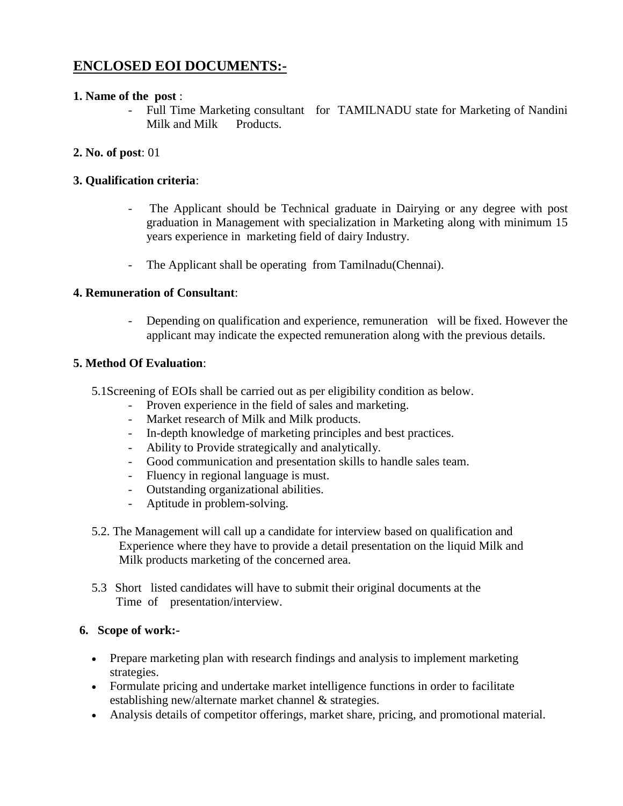# **ENCLOSED EOI DOCUMENTS:-**

#### **1. Name of the post** :

- Full Time Marketing consultant for TAMILNADU state for Marketing of Nandini Milk and Milk Products.

### **2. No. of post**: 01

#### **3. Qualification criteria**:

- The Applicant should be Technical graduate in Dairying or any degree with post graduation in Management with specialization in Marketing along with minimum 15 years experience in marketing field of dairy Industry.
- The Applicant shall be operating from Tamilnadu(Chennai).

#### **4. Remuneration of Consultant**:

- Depending on qualification and experience, remuneration will be fixed. However the applicant may indicate the expected remuneration along with the previous details.

#### **5. Method Of Evaluation**:

- 5.1Screening of EOIs shall be carried out as per eligibility condition as below.
	- Proven experience in the field of sales and marketing.
	- Market research of Milk and Milk products.
	- In-depth knowledge of marketing principles and best practices.
	- Ability to Provide strategically and analytically.
	- Good communication and presentation skills to handle sales team.
	- Fluency in regional language is must.
	- Outstanding organizational abilities.
	- Aptitude in problem-solving.
- 5.2. The Management will call up a candidate for interview based on qualification and Experience where they have to provide a detail presentation on the liquid Milk and Milk products marketing of the concerned area.
- 5.3 Short listed candidates will have to submit their original documents at the Time of presentation/interview.

#### **6. Scope of work:-**

- Prepare marketing plan with research findings and analysis to implement marketing strategies.
- Formulate pricing and undertake market intelligence functions in order to facilitate establishing new/alternate market channel & strategies.
- Analysis details of competitor offerings, market share, pricing, and promotional material.